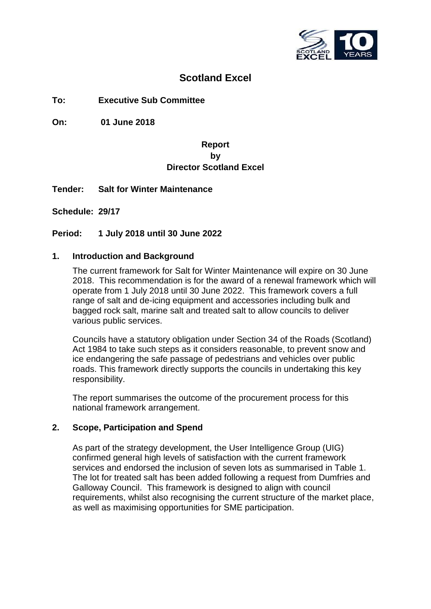

# **Scotland Excel**

**To: Executive Sub Committee**

**On: 01 June 2018**

### **Report by Director Scotland Excel**

**Tender: Salt for Winter Maintenance**

**Schedule: 29/17**

**Period: 1 July 2018 until 30 June 2022**

### **1. Introduction and Background**

The current framework for Salt for Winter Maintenance will expire on 30 June 2018. This recommendation is for the award of a renewal framework which will operate from 1 July 2018 until 30 June 2022. This framework covers a full range of salt and de-icing equipment and accessories including bulk and bagged rock salt, marine salt and treated salt to allow councils to deliver various public services.

Councils have a statutory obligation under Section 34 of the Roads (Scotland) Act 1984 to take such steps as it considers reasonable, to prevent snow and ice endangering the safe passage of pedestrians and vehicles over public roads. This framework directly supports the councils in undertaking this key responsibility.

The report summarises the outcome of the procurement process for this national framework arrangement.

### **2. Scope, Participation and Spend**

As part of the strategy development, the User Intelligence Group (UIG) confirmed general high levels of satisfaction with the current framework services and endorsed the inclusion of seven lots as summarised in Table 1. The lot for treated salt has been added following a request from Dumfries and Galloway Council. This framework is designed to align with council requirements, whilst also recognising the current structure of the market place, as well as maximising opportunities for SME participation.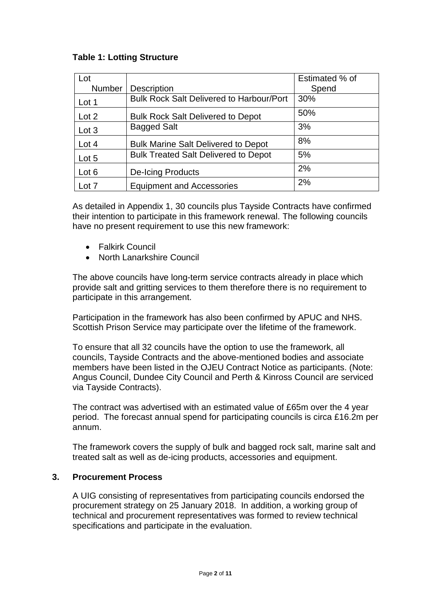## **Table 1: Lotting Structure**

| Lot    |                                                 | Estimated % of |
|--------|-------------------------------------------------|----------------|
| Number | <b>Description</b>                              | Spend          |
| Lot 1  | <b>Bulk Rock Salt Delivered to Harbour/Port</b> | 30%            |
| Lot 2  | <b>Bulk Rock Salt Delivered to Depot</b>        | 50%            |
| Lot 3  | <b>Bagged Salt</b>                              | 3%             |
| Lot 4  | <b>Bulk Marine Salt Delivered to Depot</b>      | 8%             |
| Lot 5  | <b>Bulk Treated Salt Delivered to Depot</b>     | 5%             |
| Lot 6  | <b>De-Icing Products</b>                        | 2%             |
| Lot 7  | <b>Equipment and Accessories</b>                | 2%             |

As detailed in Appendix 1, 30 councils plus Tayside Contracts have confirmed their intention to participate in this framework renewal. The following councils have no present requirement to use this new framework:

- Falkirk Council
- North Lanarkshire Council

The above councils have long-term service contracts already in place which provide salt and gritting services to them therefore there is no requirement to participate in this arrangement.

Participation in the framework has also been confirmed by APUC and NHS. Scottish Prison Service may participate over the lifetime of the framework.

To ensure that all 32 councils have the option to use the framework, all councils, Tayside Contracts and the above-mentioned bodies and associate members have been listed in the OJEU Contract Notice as participants. (Note: Angus Council, Dundee City Council and Perth & Kinross Council are serviced via Tayside Contracts).

The contract was advertised with an estimated value of £65m over the 4 year period. The forecast annual spend for participating councils is circa £16.2m per annum.

The framework covers the supply of bulk and bagged rock salt, marine salt and treated salt as well as de-icing products, accessories and equipment.

### **3. Procurement Process**

A UIG consisting of representatives from participating councils endorsed the procurement strategy on 25 January 2018. In addition, a working group of technical and procurement representatives was formed to review technical specifications and participate in the evaluation.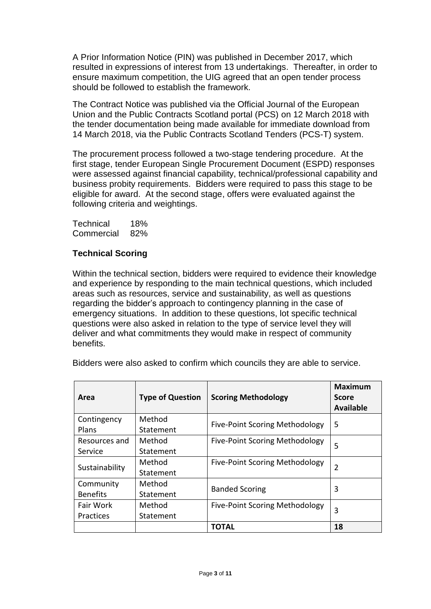A Prior Information Notice (PIN) was published in December 2017, which resulted in expressions of interest from 13 undertakings. Thereafter, in order to ensure maximum competition, the UIG agreed that an open tender process should be followed to establish the framework.

The Contract Notice was published via the Official Journal of the European Union and the Public Contracts Scotland portal (PCS) on 12 March 2018 with the tender documentation being made available for immediate download from 14 March 2018, via the Public Contracts Scotland Tenders (PCS-T) system.

The procurement process followed a two-stage tendering procedure. At the first stage, tender European Single Procurement Document (ESPD) responses were assessed against financial capability, technical/professional capability and business probity requirements. Bidders were required to pass this stage to be eligible for award. At the second stage, offers were evaluated against the following criteria and weightings.

Technical 18% Commercial 82%

### **Technical Scoring**

Within the technical section, bidders were required to evidence their knowledge and experience by responding to the main technical questions, which included areas such as resources, service and sustainability, as well as questions regarding the bidder's approach to contingency planning in the case of emergency situations. In addition to these questions, lot specific technical questions were also asked in relation to the type of service level they will deliver and what commitments they would make in respect of community benefits.

Bidders were also asked to confirm which councils they are able to service.

| Area            | <b>Type of Question</b> | <b>Scoring Methodology</b>            | <b>Maximum</b><br><b>Score</b><br><b>Available</b> |
|-----------------|-------------------------|---------------------------------------|----------------------------------------------------|
| Contingency     | Method                  | <b>Five-Point Scoring Methodology</b> | 5                                                  |
| Plans           | Statement               |                                       |                                                    |
| Resources and   | Method                  | <b>Five-Point Scoring Methodology</b> | 5                                                  |
| Service         | Statement               |                                       |                                                    |
| Sustainability  | Method                  | <b>Five-Point Scoring Methodology</b> | 2                                                  |
|                 | Statement               |                                       |                                                    |
| Community       | Method                  | <b>Banded Scoring</b>                 | 3                                                  |
| <b>Benefits</b> | Statement               |                                       |                                                    |
| Fair Work       | Method                  | <b>Five-Point Scoring Methodology</b> | 3                                                  |
| Practices       | Statement               |                                       |                                                    |
|                 |                         | ΤΟΤΑL                                 | 18                                                 |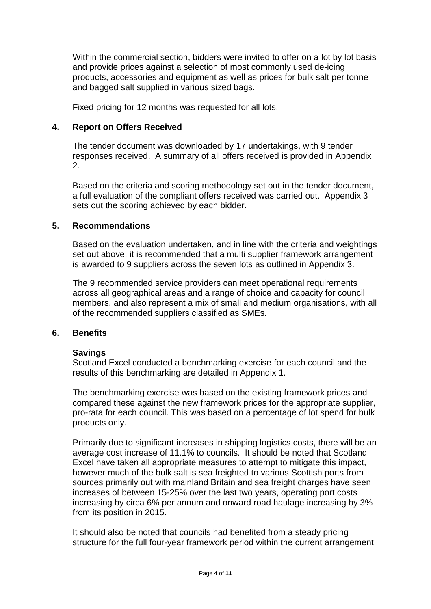Within the commercial section, bidders were invited to offer on a lot by lot basis and provide prices against a selection of most commonly used de-icing products, accessories and equipment as well as prices for bulk salt per tonne and bagged salt supplied in various sized bags.

Fixed pricing for 12 months was requested for all lots.

#### **4. Report on Offers Received**

The tender document was downloaded by 17 undertakings, with 9 tender responses received. A summary of all offers received is provided in Appendix 2.

Based on the criteria and scoring methodology set out in the tender document, a full evaluation of the compliant offers received was carried out. Appendix 3 sets out the scoring achieved by each bidder.

#### **5. Recommendations**

Based on the evaluation undertaken, and in line with the criteria and weightings set out above, it is recommended that a multi supplier framework arrangement is awarded to 9 suppliers across the seven lots as outlined in Appendix 3.

The 9 recommended service providers can meet operational requirements across all geographical areas and a range of choice and capacity for council members, and also represent a mix of small and medium organisations, with all of the recommended suppliers classified as SMEs.

#### **6. Benefits**

#### **Savings**

Scotland Excel conducted a benchmarking exercise for each council and the results of this benchmarking are detailed in Appendix 1.

The benchmarking exercise was based on the existing framework prices and compared these against the new framework prices for the appropriate supplier, pro-rata for each council. This was based on a percentage of lot spend for bulk products only.

Primarily due to significant increases in shipping logistics costs, there will be an average cost increase of 11.1% to councils. It should be noted that Scotland Excel have taken all appropriate measures to attempt to mitigate this impact, however much of the bulk salt is sea freighted to various Scottish ports from sources primarily out with mainland Britain and sea freight charges have seen increases of between 15-25% over the last two years, operating port costs increasing by circa 6% per annum and onward road haulage increasing by 3% from its position in 2015.

It should also be noted that councils had benefited from a steady pricing structure for the full four-year framework period within the current arrangement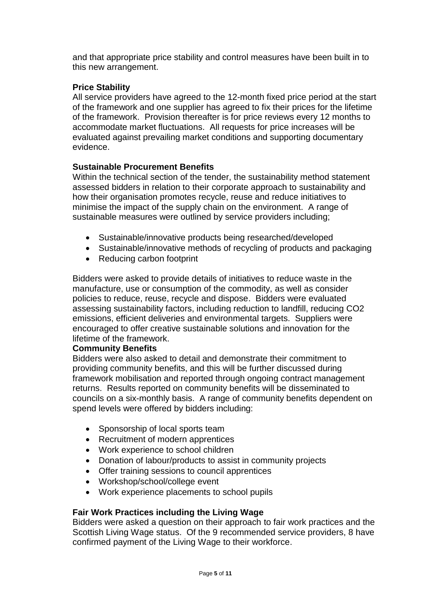and that appropriate price stability and control measures have been built in to this new arrangement.

## **Price Stability**

All service providers have agreed to the 12-month fixed price period at the start of the framework and one supplier has agreed to fix their prices for the lifetime of the framework. Provision thereafter is for price reviews every 12 months to accommodate market fluctuations. All requests for price increases will be evaluated against prevailing market conditions and supporting documentary evidence.

### **Sustainable Procurement Benefits**

Within the technical section of the tender, the sustainability method statement assessed bidders in relation to their corporate approach to sustainability and how their organisation promotes recycle, reuse and reduce initiatives to minimise the impact of the supply chain on the environment. A range of sustainable measures were outlined by service providers including;

- Sustainable/innovative products being researched/developed
- Sustainable/innovative methods of recycling of products and packaging
- Reducing carbon footprint

Bidders were asked to provide details of initiatives to reduce waste in the manufacture, use or consumption of the commodity, as well as consider policies to reduce, reuse, recycle and dispose. Bidders were evaluated assessing sustainability factors, including reduction to landfill, reducing CO2 emissions, efficient deliveries and environmental targets. Suppliers were encouraged to offer creative sustainable solutions and innovation for the lifetime of the framework.

### **Community Benefits**

Bidders were also asked to detail and demonstrate their commitment to providing community benefits, and this will be further discussed during framework mobilisation and reported through ongoing contract management returns. Results reported on community benefits will be disseminated to councils on a six-monthly basis. A range of community benefits dependent on spend levels were offered by bidders including:

- Sponsorship of local sports team
- Recruitment of modern apprentices
- Work experience to school children
- Donation of labour/products to assist in community projects
- Offer training sessions to council apprentices
- Workshop/school/college event
- Work experience placements to school pupils

## **Fair Work Practices including the Living Wage**

Bidders were asked a question on their approach to fair work practices and the Scottish Living Wage status. Of the 9 recommended service providers, 8 have confirmed payment of the Living Wage to their workforce.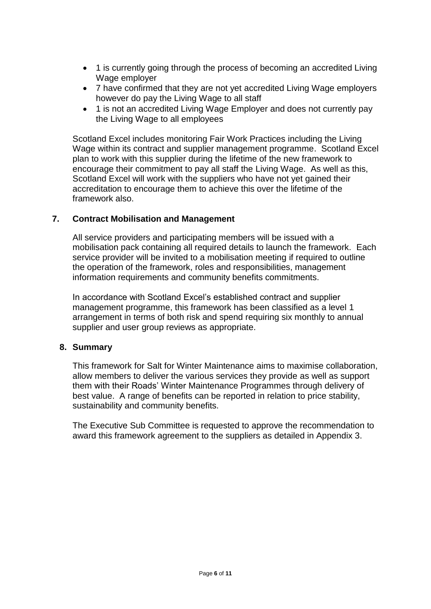- 1 is currently going through the process of becoming an accredited Living Wage employer
- 7 have confirmed that they are not yet accredited Living Wage employers however do pay the Living Wage to all staff
- 1 is not an accredited Living Wage Employer and does not currently pay the Living Wage to all employees

Scotland Excel includes monitoring Fair Work Practices including the Living Wage within its contract and supplier management programme. Scotland Excel plan to work with this supplier during the lifetime of the new framework to encourage their commitment to pay all staff the Living Wage. As well as this, Scotland Excel will work with the suppliers who have not yet gained their accreditation to encourage them to achieve this over the lifetime of the framework also.

### **7. Contract Mobilisation and Management**

All service providers and participating members will be issued with a mobilisation pack containing all required details to launch the framework. Each service provider will be invited to a mobilisation meeting if required to outline the operation of the framework, roles and responsibilities, management information requirements and community benefits commitments.

In accordance with Scotland Excel's established contract and supplier management programme, this framework has been classified as a level 1 arrangement in terms of both risk and spend requiring six monthly to annual supplier and user group reviews as appropriate.

### **8. Summary**

This framework for Salt for Winter Maintenance aims to maximise collaboration, allow members to deliver the various services they provide as well as support them with their Roads' Winter Maintenance Programmes through delivery of best value. A range of benefits can be reported in relation to price stability, sustainability and community benefits.

The Executive Sub Committee is requested to approve the recommendation to award this framework agreement to the suppliers as detailed in Appendix 3.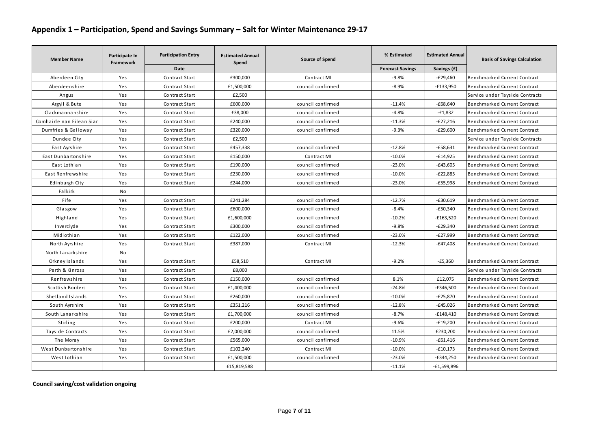### **Appendix 1 – Participation, Spend and Savings Summary – Salt for Winter Maintenance 29-17**

| <b>Member Name</b>        | Participate In<br>Framework | <b>Participation Entry</b> | <b>Estimated Annual</b><br>Spend | Source of Spend   | % Estimated             | <b>Estimated Annual</b> | <b>Basis of Savings Calculation</b> |
|---------------------------|-----------------------------|----------------------------|----------------------------------|-------------------|-------------------------|-------------------------|-------------------------------------|
|                           |                             | <b>Date</b>                |                                  |                   | <b>Forecast Savings</b> | Savings (£)             |                                     |
| Aberdeen City             | Yes                         | Contract Start             | £300,000                         | Contract MI       | $-9.8%$                 | $-E29,460$              | Benchmarked Current Contract        |
| Aberdeenshire             | Yes                         | Contract Start             | £1,500,000                       | council confirmed | $-8.9%$                 | $-£133,950$             | Benchmarked Current Contract        |
| Angus                     | Yes                         | Contract Start             | £2,500                           |                   |                         |                         | Service under Tayside Contracts     |
| Argyll & Bute             | Yes                         | Contract Start             | £600,000                         | council confirmed | $-11.4%$                | $-£68,640$              | Benchmarked Current Contract        |
| Clackmannanshire          | Yes                         | Contract Start             | £38,000                          | council confirmed | $-4.8%$                 | $-£1,832$               | Benchmarked Current Contract        |
| Comhairle nan Eilean Siar | Yes                         | Contract Start             | £240,000                         | council confirmed | $-11.3%$                | $-E27,216$              | Benchmarked Current Contract        |
| Dumfries & Galloway       | Yes                         | Contract Start             | £320,000                         | council confirmed | $-9.3%$                 | $-E29,600$              | Benchmarked Current Contract        |
| Dundee City               | Yes                         | Contract Start             | £2,500                           |                   |                         |                         | Service under Tayside Contracts     |
| East Ayrshire             | Yes                         | Contract Start             | £457,338                         | council confirmed | $-12.8%$                | $-£58.631$              | Benchmarked Current Contract        |
| East Dunbartonshire       | Yes                         | Contract Start             | £150,000                         | Contract MI       | $-10.0%$                | $-£14,925$              | Benchmarked Current Contract        |
| East Lothian              | Yes                         | Contract Start             | £190,000                         | council confirmed | $-23.0%$                | $-£43,605$              | Benchmarked Current Contract        |
| East Renfrewshire         | Yes                         | Contract Start             | £230,000                         | council confirmed | $-10.0%$                | $-E22,885$              | Benchmarked Current Contract        |
| Edinburgh City            | Yes                         | Contract Start             | £244,000                         | council confirmed | $-23.0%$                | $-£55,998$              | Benchmarked Current Contract        |
| Falkirk                   | No                          |                            |                                  |                   |                         |                         |                                     |
| Fife                      | Yes                         | Contract Start             | £241.284                         | council confirmed | $-12.7%$                | $-£30,619$              | Benchmarked Current Contract        |
| Glasgow                   | Yes                         | Contract Start             | £600,000                         | council confirmed | $-8.4%$                 | $-£50,340$              | Benchmarked Current Contract        |
| Highland                  | Yes                         | Contract Start             | £1,600,000                       | council confirmed | $-10.2%$                | -£163,520               | Benchmarked Current Contract        |
| Inverclyde                | Yes                         | Contract Start             | £300,000                         | council confirmed | $-9.8%$                 | $-E29,340$              | Benchmarked Current Contract        |
| Midlothian                | Yes                         | Contract Start             | £122,000                         | council confirmed | $-23.0%$                | $-E27,999$              | Benchmarked Current Contract        |
| North Ayrshire            | Yes                         | Contract Start             | £387,000                         | Contract MI       | $-12.3%$                | $-E47,408$              | Benchmarked Current Contract        |
| North Lanarkshire         | No                          |                            |                                  |                   |                         |                         |                                     |
| Orkney Islands            | Yes                         | Contract Start             | £58,510                          | Contract MI       | $-9.2%$                 | $-E5,360$               | Benchmarked Current Contract        |
| Perth & Kinross           | Yes                         | Contract Start             | £8,000                           |                   |                         |                         | Service under Tayside Contracts     |
| Renfrewshire              | Yes                         | Contract Start             | £150,000                         | council confirmed | 8.1%                    | £12,075                 | Benchmarked Current Contract        |
| Scottish Borders          | Yes                         | Contract Start             | £1,400,000                       | council confirmed | -24.8%                  | -£346,500               | Benchmarked Current Contract        |
| Shetland Islands          | Yes                         | Contract Start             | £260,000                         | council confirmed | $-10.0%$                | $-E25,870$              | Benchmarked Current Contract        |
| South Ayrshire            | Yes                         | Contract Start             | £351,216                         | council confirmed | $-12.8%$                | $-£45,026$              | Benchmarked Current Contract        |
| South Lanarkshire         | Yes                         | Contract Start             | £1,700,000                       | council confirmed | $-8.7%$                 | $-£148,410$             | Benchmarked Current Contract        |
| Stirling                  | Yes                         | Contract Start             | £200,000                         | Contract MI       | $-9.6%$                 | $-E19,200$              | Benchmarked Current Contract        |
| Tayside Contracts         | Yes                         | Contract Start             | £2,000,000                       | council confirmed | 11.5%                   | £230,200                | Benchmarked Current Contract        |
| The Moray                 | Yes                         | Contract Start             | £565,000                         | council confirmed | $-10.9%$                | $-£61,416$              | Benchmarked Current Contract        |
| West Dunbartonshire       | Yes                         | Contract Start             | £102,240                         | Contract MI       | $-10.0%$                | $-£10,173$              | Benchmarked Current Contract        |
| West Lothian              | Yes                         | Contract Start             | £1,500,000                       | council confirmed | $-23.0%$                | $-£344,250$             | Benchmarked Current Contract        |
|                           |                             |                            | £15,819,588                      |                   | $-11.1%$                | $-E1,599,896$           |                                     |

**Council saving/cost validation ongoing**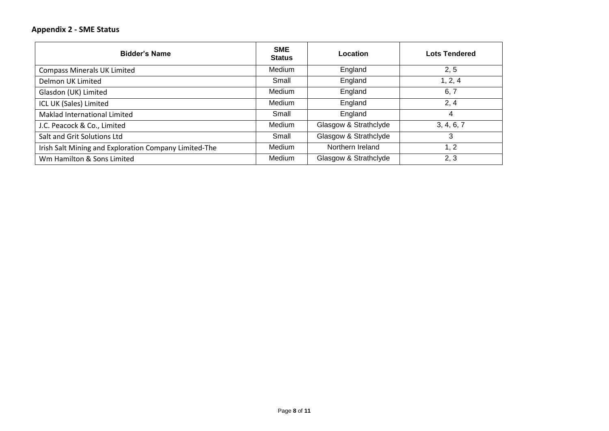### **Appendix 2 - SME Status**

| <b>Bidder's Name</b>                                  | <b>SME</b><br>Status | Location              | <b>Lots Tendered</b> |
|-------------------------------------------------------|----------------------|-----------------------|----------------------|
| <b>Compass Minerals UK Limited</b>                    | Medium               | England               | 2, 5                 |
| Delmon UK Limited                                     | Small                | England               | 1, 2, 4              |
| Glasdon (UK) Limited                                  | Medium               | England               | 6, 7                 |
| ICL UK (Sales) Limited                                | <b>Medium</b>        | England               | 2, 4                 |
| Maklad International Limited                          | Small                | England               | 4                    |
| J.C. Peacock & Co., Limited                           | Medium               | Glasgow & Strathclyde | 3, 4, 6, 7           |
| Salt and Grit Solutions Ltd                           | Small                | Glasgow & Strathclyde | 3                    |
| Irish Salt Mining and Exploration Company Limited-The | <b>Medium</b>        | Northern Ireland      | 1, 2                 |
| Wm Hamilton & Sons Limited                            | Medium               | Glasgow & Strathclyde | 2, 3                 |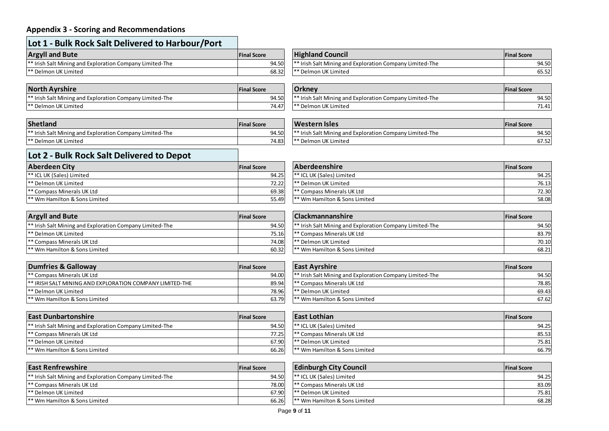## **Appendix 3 - Scoring and Recommendations**

| <b>Argyll and Bute</b>                                              | <b>IFinal Score</b> | <b>Highland Council</b>                                             | <b>Final Score</b> |
|---------------------------------------------------------------------|---------------------|---------------------------------------------------------------------|--------------------|
| <sup>**</sup> Irish Salt Mining and Exploration Company Limited-The | 94.50               | <sup>**</sup> Irish Salt Mining and Exploration Company Limited-The |                    |
| <sup>**</sup> Delmon UK Limited                                     | 68.32               | I** Delmon UK Limited                                               |                    |

| <b>North Ayrshire</b>                                    | <b>Final Score</b> | <b>Orkney</b>                                                   | <b>IFinal Score</b> |
|----------------------------------------------------------|--------------------|-----------------------------------------------------------------|---------------------|
| ** Irish Salt Mining and Exploration Company Limited-The | 94.50              | $\mid$ ** Irish Salt Mining and Exploration Company Limited-The | 94.50               |
| ** Delmon UK Limited                                     | 74.47              | $\mathsf{I}^*$ Delmon UK Limited                                | 71.41               |

| Shetland                                                            | <b>Final Score</b> | Western Isles                                                       | <b>Final Score</b> |
|---------------------------------------------------------------------|--------------------|---------------------------------------------------------------------|--------------------|
| <sup>**</sup> Irish Salt Mining and Exploration Company Limited-The | 94.50              | <sup>**</sup> Irish Salt Mining and Exploration Company Limited-The |                    |
| I <sup>**</sup> Delmon UK Limited                                   | 74.83              | <sup>**</sup> Delmon UK Limited                                     |                    |

| <b>Argyll and Bute</b>                                   | <b>Final Score</b> | <b>Highland Council</b>                                  | <b>Final Score</b> |
|----------------------------------------------------------|--------------------|----------------------------------------------------------|--------------------|
| ** Irish Salt Mining and Exploration Company Limited-The | 94.50              | ** Irish Salt Mining and Exploration Company Limited-The | 94.50              |
| ** Delmon UK Limited                                     | 68.32              | l** Delmon UK Limited                                    | 65.52              |

| <b>North Ayrshire</b>                                    | <b>Final Score</b> | <b>Orkney</b>                                           | <b>Final Score</b> |
|----------------------------------------------------------|--------------------|---------------------------------------------------------|--------------------|
| ** Irish Salt Mining and Exploration Company Limited-The | 94.50              | * Irish Salt Mining and Exploration Company Limited-The | 94.50              |
| ** Delmon UK Limited                                     | 74.47              | I <sup>**</sup> Delmon UK Limited                       | 71.41              |

| <b>Shetland</b>                                          | <b>Final Score</b> | Western Isles                                                         | <b>Final Score</b> |
|----------------------------------------------------------|--------------------|-----------------------------------------------------------------------|--------------------|
| ** Irish Salt Mining and Exploration Company Limited-The | 94.50              | I <sup>**</sup> Irish Salt Mining and Exploration Company Limited-The | 94.50              |
| ** Delmon UK Limited                                     | 74.83              | 1** Delmon UK Limited                                                 | 67.52              |

# **Lot 2 - Bulk Rock Salt Delivered to Depot**

| Aberdeen City                            | <b>Final Score</b> | <b>Aberdeenshire</b>           | <b>IFinal Score</b> |
|------------------------------------------|--------------------|--------------------------------|---------------------|
| <sup>**</sup> ICL UK (Sales) Limited     | 94.25              | I** ICL UK (Sales) Limited     |                     |
| I** Delmon UK Limited                    | 72.22              | * Delmon UK Limited            |                     |
| <sup>**</sup> Compass Minerals UK Ltd    | 69.38              | * Compass Minerals UK Ltd      |                     |
| <sup>**</sup> Wm Hamilton & Sons Limited | 55.49              | 1** Wm Hamilton & Sons Limited |                     |

| <b>Argyll and Bute</b>                                              | <b>Final Score</b> | <b>Clackmannanshire</b>                                             | <b>Final Score</b> |
|---------------------------------------------------------------------|--------------------|---------------------------------------------------------------------|--------------------|
| <sup>**</sup> Irish Salt Mining and Exploration Company Limited-The | 94.50              | <sup>**</sup> Irish Salt Mining and Exploration Company Limited-The | 94.50              |
| l** Delmon UK Limited                                               | 75.16              | I** Compass Minerals UK Ltd                                         | 83.79              |
| <sup>**</sup> Compass Minerals UK Ltd                               | 74.08              | l** Delmon UK Limited                                               | 70.10              |
| 1** Wm Hamilton & Sons Limited                                      | 60.32              | 1** Wm Hamilton & Sons Limited                                      | 68.21              |

| Dumfries & Galloway                                        | <b>Final Score</b> | <b>East Avrshire</b>                                                | <b>IFinal Score</b> |
|------------------------------------------------------------|--------------------|---------------------------------------------------------------------|---------------------|
| <sup>**</sup> Compass Minerals UK Ltd                      | 94.00              | <sup>**</sup> Irish Salt Mining and Exploration Company Limited-The |                     |
| I ** IRISH SALT MINING AND EXPLORATION COMPANY LIMITED-THE | 89.94              | <sup>*</sup> Compass Minerals UK Ltd                                |                     |
| <sup>**</sup> Delmon UK Limited                            | 78.96              | <sup>*</sup> Delmon UK Limited                                      |                     |
| <sup>**</sup> Wm Hamilton & Sons Limited                   | 63.79              | <sup>**</sup> Wm Hamilton & Sons Limited                            |                     |

| <b>Clackmannanshire</b>                                             | <b>Final Score</b> |
|---------------------------------------------------------------------|--------------------|
| <sup>**</sup> Irish Salt Mining and Exploration Company Limited-The | 94.50              |
| <sup>**</sup> Compass Minerals UK Ltd                               | 83.79              |
| <sup>**</sup> Delmon UK Limited                                     | 70.10              |
| ** Wm Hamilton & Sons Limited                                       | 68.21              |

\*\* ICL UK (Sales) Limited 94.25 \*\* ICL UK (Sales) Limited 94.25 \*\* ICL UK (Sales) Limited 94.25 \*\* ICL UK Limited 94.25 \*\* \*\* Delmon UK Limited 76.13<br>\*\* Compass Minerals UK Ltd 72.30 \*\* Compass Minerals UK Ltd 69.38 \*\* Compass Minerals UK Ltd 69.38 \*\* Compass Minerals UK Ltd 72.30<br>\*\* Wm Hamilton & Sons Limited 69.38 \*\* Compass 19.38 \*\* Compass 19.38 \*\* Compass 19.38 \*\* Compass 19.38 \*\*

| <b>Dumfries &amp; Galloway</b>                           | <b>Final Score</b> | <b>East Avrshire</b>                                                | <b>Final Score</b> |
|----------------------------------------------------------|--------------------|---------------------------------------------------------------------|--------------------|
| ** Compass Minerals UK Ltd                               | 94.00              | <sup>**</sup> Irish Salt Mining and Exploration Company Limited-The | 94.50              |
| ** IRISH SALT MINING AND EXPLORATION COMPANY LIMITED-THE | 89.94              | <sup>**</sup> Compass Minerals UK Ltd                               | 78.85              |
| ** Delmon UK Limited                                     | 78.96              | l** Delmon UK Limited                                               | 69.43              |
| ** Wm Hamilton & Sons Limited                            | 63.79              | 1** Wm Hamilton & Sons Limited                                      | 67.62              |

| <b>East Dunbartonshire</b>                                          | <b>IFinal Score</b> | <b>East Lothian</b>                      | <b>IFinal Score</b> |
|---------------------------------------------------------------------|---------------------|------------------------------------------|---------------------|
| <sup>**</sup> Irish Salt Mining and Exploration Company Limited-The | 94.50               | <sup>**</sup> ICL UK (Sales) Limited     |                     |
| <sup>**</sup> Compass Minerals UK Ltd                               | 77.25               | Compass Minerals UK Ltd                  |                     |
| I** Delmon UK Limited                                               | 67.90               | * Delmon UK Limited                      |                     |
| <sup>**</sup> Wm Hamilton & Sons Limited                            | 66.26               | <sup>**</sup> Wm Hamilton & Sons Limited |                     |

| <b>East Dunbartonshire</b>                               | <b>Final Score</b> | <b>East Lothian</b>                   | <b>Final Score</b> |
|----------------------------------------------------------|--------------------|---------------------------------------|--------------------|
| ** Irish Salt Mining and Exploration Company Limited-The | 94.50              | <sup>**</sup> ICL UK (Sales) Limited  | 94.25              |
| ** Compass Minerals UK Ltd                               | 77.25              | <sup>**</sup> Compass Minerals UK Ltd | 85.53              |
| ** Delmon UK Limited                                     | 67.90              | I** Delmon UK Limited                 | 75.81              |
| ** Wm Hamilton & Sons Limited                            | 66.26              | I** Wm Hamilton & Sons Limited        | 66.79              |

| <b>East Renfrewshire</b>                                            | <b>Final Score</b> | <b>Edinburgh City Council</b>            | <b>Final Score</b> |
|---------------------------------------------------------------------|--------------------|------------------------------------------|--------------------|
| <sup>**</sup> Irish Salt Mining and Exploration Company Limited-The | 94.50              | <sup>**</sup> ICL UK (Sales) Limited     | 94.25              |
| <sup>**</sup> Compass Minerals UK Ltd                               | 78.00              | 1 <sup>**</sup> Compass Minerals UK Ltd  | 83.09              |
| <sup>**</sup> Delmon UK Limited                                     | 67.90              | I** Delmon UK Limited                    | 75.81              |
| <sup>**</sup> Wm Hamilton & Sons Limited                            | 66.26              | <sup>**</sup> Wm Hamilton & Sons Limited | 68.28              |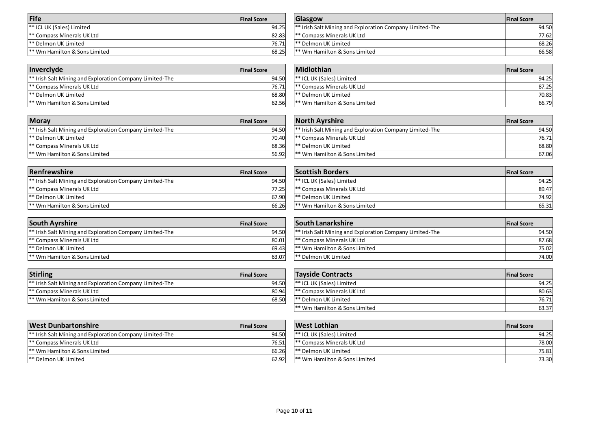| Fife                                     | <b>Final Score</b> | Glasgow                                                             | <b>Final Score</b> |
|------------------------------------------|--------------------|---------------------------------------------------------------------|--------------------|
| <sup>**</sup> ICL UK (Sales) Limited     | 94.25              | <sup>**</sup> Irish Salt Mining and Exploration Company Limited-The |                    |
| <sup>**</sup> Compass Minerals UK Ltd    | 82.83              | <sup>e</sup> Compass Minerals UK Ltd                                |                    |
| l** Delmon UK Limited                    | 76.71              | I** Delmon UK Limited                                               |                    |
| <sup>**</sup> Wm Hamilton & Sons Limited | 68.25              | 1** Wm Hamilton & Sons Limited                                      |                    |

| <b>Fife</b>                   | <b>Final Score</b> | Glasgow                                                              | <b>IFinal Score</b> |
|-------------------------------|--------------------|----------------------------------------------------------------------|---------------------|
| ** ICL UK (Sales) Limited     | 94.25              | <sup>1**</sup> Irish Salt Mining and Exploration Company Limited-The | 94.50l              |
| ** Compass Minerals UK Ltd    | 82.83              | <sup>**</sup> Compass Minerals UK Ltd                                | 77.62               |
| ** Delmon UK Limited          | 76.71              | l** Delmon UK Limited                                                | 68.26               |
| ** Wm Hamilton & Sons Limited | 68.25              | <sup>**</sup> Wm Hamilton & Sons Limited                             | 66.58               |

| <b>Invercivde</b>                                                   | <b>Final Score</b> | <b>Midlothian</b>                        | <b>IFinal Score</b> |
|---------------------------------------------------------------------|--------------------|------------------------------------------|---------------------|
| <sup>**</sup> Irish Salt Mining and Exploration Company Limited-The | 94.50              | <sup>**</sup> ICL UK (Sales) Limited     | 94.25               |
| <sup>**</sup> Compass Minerals UK Ltd                               | 76.71              | <sup>**</sup> Compass Minerals UK Ltd    | 87.25               |
| I** Delmon UK Limited                                               | 68.80              | I** Delmon UK Limited                    | 70.83               |
| 1** Wm Hamilton & Sons Limited                                      | 62.56              | <sup>**</sup> Wm Hamilton & Sons Limited | 66.79               |

| <b>Midlothian</b>                     | <b>Final Score</b> |       |
|---------------------------------------|--------------------|-------|
| <sup>**</sup> ICL UK (Sales) Limited  |                    | 94.25 |
| <sup>**</sup> Compass Minerals UK Ltd |                    | 87.25 |
| <sup>**</sup> Delmon UK Limited       |                    | 70.83 |
| 1** Wm Hamilton & Sons Limited        |                    | 66.79 |

| <b>Moray</b>                                                        | <b>Final Score</b> | <b>North Avrshire</b>                                               | <b>Final Score</b> |
|---------------------------------------------------------------------|--------------------|---------------------------------------------------------------------|--------------------|
| <sup>**</sup> Irish Salt Mining and Exploration Company Limited-The | 94.50              | <sup>**</sup> Irish Salt Mining and Exploration Company Limited-The | 94.50              |
| I** Delmon UK Limited                                               | 70.40              | ** Compass Minerals UK Ltd                                          | 76.71              |
| <sup>**</sup> Compass Minerals UK Ltd                               | 68.36              | <sup>**</sup> Delmon UK Limited                                     | 68.80              |
| 1** Wm Hamilton & Sons Limited                                      | 56.92              | l** Wm Hamilton & Sons Limited                                      | 67.06              |

| <b>Renfrewshire</b>                                                 | <b>Final Score</b> | <b>Scottish Borders</b>                  | <b>IFinal Score</b> |
|---------------------------------------------------------------------|--------------------|------------------------------------------|---------------------|
| <sup>**</sup> Irish Salt Mining and Exploration Company Limited-The | 94.50              | <sup>**</sup> ICL UK (Sales) Limited     | 94.25               |
| <sup>**</sup> Compass Minerals UK Ltd                               | 77.25              | <sup>**</sup> Compass Minerals UK Ltd    | 89.47               |
| <sup>**</sup> Delmon UK Limited                                     | 67.90              | l** Delmon UK Limited                    | 74.92               |
| <sup>**</sup> Wm Hamilton & Sons Limited                            | 66.26              | <sup>**</sup> Wm Hamilton & Sons Limited | 65.31               |

| <b>South Ayrshire</b>                                               | <b>Final Score</b> | <b>South Lanarkshire</b>                                            | <b>Final Score</b> |
|---------------------------------------------------------------------|--------------------|---------------------------------------------------------------------|--------------------|
| <sup>**</sup> Irish Salt Mining and Exploration Company Limited-The | 94.50              | <sup>**</sup> Irish Salt Mining and Exploration Company Limited-The |                    |
| <sup>**</sup> Compass Minerals UK Ltd                               | 80.01              | <sup>*</sup> Compass Minerals UK Ltd<br>1 * *                       |                    |
| <sup>**</sup> Delmon UK Limited                                     | 69.43              | 1** Wm Hamilton & Sons Limited                                      |                    |
| <sup>**</sup> Wm Hamilton & Sons Limited                            | 63.07              | <sup>**</sup> Delmon UK Limited                                     |                    |

| <b>Stirling</b>                                                     | <b>Final Score</b> | <b>Tavside Contracts</b>              | <b>Final Score</b> |
|---------------------------------------------------------------------|--------------------|---------------------------------------|--------------------|
| <sup>**</sup> Irish Salt Mining and Exploration Company Limited-The | 94.50              | <sup>**</sup> ICL UK (Sales) Limited  |                    |
| <sup>**</sup> Compass Minerals UK Ltd                               | 80.94              | <sup>**</sup> Compass Minerals UK Ltd |                    |
| <sup>**</sup> Wm Hamilton & Sons Limited                            | 68.50              | l** Delmon UK Limited                 |                    |

| <u>VVIII HAIHIILUH &amp; JUIS LIIHILEU</u> |                    | <b>UI.UU</b> |
|--------------------------------------------|--------------------|--------------|
|                                            |                    |              |
| <b>Scottish Borders</b>                    | <b>Final Score</b> |              |
| <sup>**</sup> ICL UK (Sales) Limited       |                    | 94.25        |
| <sup>**</sup> Compass Minerals UK Ltd      |                    | 89.47        |
| <sup>**</sup> Delmon UK Limited            |                    | 74.92        |
| <sup>**</sup> Wm Hamilton & Sons Limited   |                    | 65.31        |

| <b>South Avrshire</b>                                    | <b>Final Score</b> | <b>South Lanarkshire</b>                                            | <b>Final Score</b> |
|----------------------------------------------------------|--------------------|---------------------------------------------------------------------|--------------------|
| ** Irish Salt Mining and Exploration Company Limited-The | 94.50              | <sup>**</sup> Irish Salt Mining and Exploration Company Limited-The | 94.50              |
| ** Compass Minerals UK Ltd                               | 80.01              | <sup>**</sup> Compass Minerals UK Ltd                               | 87.68l             |
| ** Delmon UK Limited                                     | 69.43              | <sup>**</sup> Wm Hamilton & Sons Limited                            | 75.02L             |
| ** Wm Hamilton & Sons Limited                            | 63.07              | I** Delmon UK Limited                                               | 74.00              |

| <b>Stirling</b>                                          | <b>Final Score</b> | <b>Tayside Contracts</b>                 | <b>Final Score</b> |
|----------------------------------------------------------|--------------------|------------------------------------------|--------------------|
| ** Irish Salt Mining and Exploration Company Limited-The | 94.50              | <sup>**</sup> ICL UK (Sales) Limited     | 94.25              |
| ** Compass Minerals UK Ltd                               | 80.94              | <sup>**</sup> Compass Minerals UK Ltd    | 80.63              |
| ** Wm Hamilton & Sons Limited                            | 68.50              | l** Delmon UK Limited                    | 76.71              |
|                                                          |                    | <sup>**</sup> Wm Hamilton & Sons Limited | 63.37              |

| <b>West Dunbartonshire</b>                                          | <b>Final Score</b> | West Lothian                             | <b>Final Score</b> |
|---------------------------------------------------------------------|--------------------|------------------------------------------|--------------------|
| <sup>**</sup> Irish Salt Mining and Exploration Company Limited-The | 94.50              | <sup>**</sup> ICL UK (Sales) Limited     | 94.25              |
| <sup>**</sup> Compass Minerals UK Ltd                               | 76.51              | l** Compass Minerals UK Ltd              | 78.00              |
| <sup>**</sup> Wm Hamilton & Sons Limited                            | 66.26              | <sup>**</sup> Delmon UK Limited          | 75.81              |
| l** Delmon UK Limited                                               | 62.92              | <sup>**</sup> Wm Hamilton & Sons Limited | 73.30              |